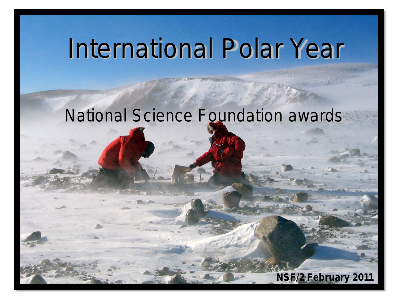# International Polar Year

# National Science Foundation awards

**NSF/2 February 2011**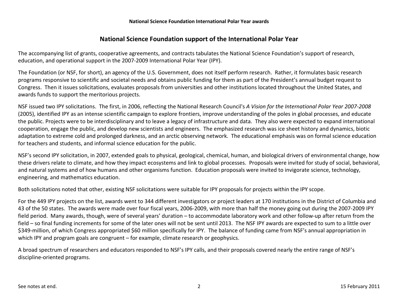# **National Science Foundation support of the International Polar Year**

The accompanying list of grants, cooperative agreements, and contracts tabulates the National Science Foundation's support of research, education, and operational support in the 2007-2009 International Polar Year (IPY).

The Foundation (or NSF, for short), an agency of the U.S. Government, does not itself perform research. Rather, it formulates basic research programs responsive to scientific and societal needs and obtains public funding for them as part of the President's annual budget request to Congress. Then it issues solicitations, evaluates proposals from universities and other institutions located throughout the United States, and awards funds to support the meritorious projects.

NSF issued two IPY solicitations. The first, in 2006, reflecting the National Research Council's *A Vision for the International Polar Year 2007-2008* (2005), identified IPY as an intense scientific campaign to explore frontiers, improve understanding of the poles in global processes, and educate the public. Projects were to be interdisciplinary and to leave a legacy of infrastructure and data. They also were expected to expand international cooperation, engage the public, and develop new scientists and engineers. The emphasized research was ice sheet history and dynamics, biotic adaptation to extreme cold and prolonged darkness, and an arctic observing network. The educational emphasis was on formal science education for teachers and students, and informal science education for the public.

NSF's second IPY solicitation, in 2007, extended goals to physical, geological, chemical, human, and biological drivers of environmental change, how these drivers relate to climate, and how they impact ecosystems and link to global processes. Proposals were invited for study of social, behavioral, and natural systems and of how humans and other organisms function. Education proposals were invited to invigorate science, technology, engineering, and mathematics education.

Both solicitations noted that other, existing NSF solicitations were suitable for IPY proposals for projects within the IPY scope.

For the 449 IPY projects on the list, awards went to 344 different investigators or project leaders at 170 institutions in the District of Columbia and 43 of the 50 states. The awards were made over four fiscal years, 2006-2009, with more than half the money going out during the 2007-2009 IPY field period. Many awards, though, were of several years' duration – to accommodate laboratory work and other follow-up after return from the field – so final funding increments for some of the later ones will not be sent until 2013. The NSF IPY awards are expected to sum to a little over \$349-million, of which Congress appropriated \$60 million specifically for IPY. The balance of funding came from NSF's annual appropriation in which IPY and program goals are congruent – for example, climate research or geophysics.

A broad spectrum of researchers and educators responded to NSF's IPY calls, and their proposals covered nearly the entire range of NSF's discipline-oriented programs.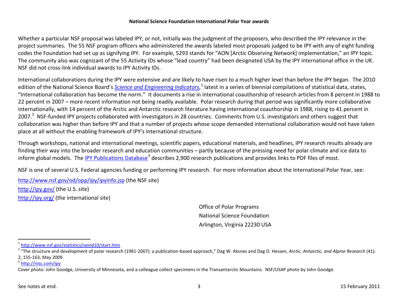<span id="page-2-2"></span><span id="page-2-1"></span><span id="page-2-0"></span>Whether a particular NSF proposal was labeled IPY, or not, initially was the judgment of the proposers, who described the IPY relevance in the project summaries. The 55 NSF program officers who administered the awards labeled most proposals judged to be IPY with any of eight funding codes the Foundation had set up as signifying IPY. For example, 5293 stands for "AON [Arctic Observing Network] implementation," an IPY topic. The community also was cognizant of the 55 Activity IDs whose "lead country" had been designated USA by the IPY international office in the UK. NSF did not cross-link individual awards to IPY Activity IDs.

International collaborations during the IPY were extensive and are likely to have risen to a much higher level than before the IPY began. The 2010 edition of the National Science Board's *[Science and Engineering Indicators](http://www.nsf.gov/statistics/seind10/start.htm)*,<sup>[1](#page-2-0)</sup> latest in a series of biennial compilations of statistical data, states, "International collaboration has become the norm." It documents a rise in international coauthorship of research articles from 8 percent in 1988 to 22 percent in 2007 – more recent information not being readily available. Polar research during that period was significantly more collaborative internationally, with 14 percent of the Arctic and Antarctic research literature having international coauthorship in 1988, rising to 41 percent in [2](#page-2-1)007.<sup>2</sup> NSF-funded IPY projects collaborated with investigators in 28 countries. Comments from U.S. investigators and others suggest that collaboration was higher than before IPY and that a number of projects whose scope demanded international collaboration would not have taken place at all without the enabling framework of IPY's international structure.

Through workshops, national and international meetings, scientific papers, educational materials, and headlines, IPY research results already are finding their way into the broader research and education communities – partly because of the pressing need for polar climate and ice data to inform global models. The <u>[IPY Publications Database](http://www.nisc.com/ipy)</u><sup>[3](#page-2-2)</sup> describes 2,900 research publications and provides links to PDF files of most.

NSF is one of several U.S. Federal agencies funding or performing IPY research. For more information about the International Polar Year, see:

<http://www.nsf.gov/od/opp/ipy/ipyinfo.jsp> (the NSF site) <http://ipy.gov/> (the U.S. site) <http://ipy.org/> (the international site)

> Office of Polar Programs National Science Foundation Arlington, Virginia 22230 USA

 $\overline{\phantom{0}}$ 

 $\frac{1}{2}$  http://www.nsf.gov/statistics/seind10/start.htm<br> $\frac{1}{2}$  "The structure and development of polar research (1981-2007): a publication-based approach," Dag W. Aksnes and Dag O. Hessen, Arctic, Antarctic, and Alpi

<sup>2, 155-163,</sup> May 2009.<br><sup>3</sup> <http://nisc.com/ipy>

Cover photo: John Goodge, University of Minnesota, and a colleague collect specimens in the Transantarctic Mountains. NSF/USAP photo by John Goodge.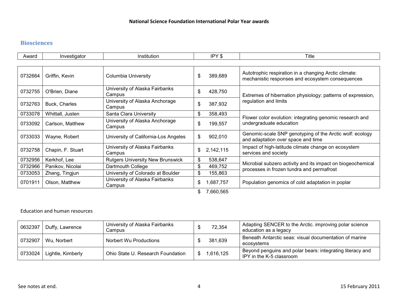# **Biosciences**

| Award   | Investigator      | Institution                              | IPY \$          | Title                                                                                                     |
|---------|-------------------|------------------------------------------|-----------------|-----------------------------------------------------------------------------------------------------------|
|         |                   |                                          |                 |                                                                                                           |
| 0732664 | Griffin, Kevin    | Columbia University                      | \$<br>389,689   | Autotrophic respiration in a changing Arctic climate:<br>mechanistic responses and ecosystem consequences |
| 0732755 | O'Brien, Diane    | University of Alaska Fairbanks<br>Campus | \$<br>428,750   | Extremes of hibernation physiology: patterns of expression,                                               |
| 0732763 | Buck, Charles     | University of Alaska Anchorage<br>Campus | \$<br>387,932   | regulation and limits                                                                                     |
| 0733078 | Whittall, Justen  | Santa Clara University                   | \$<br>358,493   |                                                                                                           |
| 0733092 | Carlson, Matthew  | University of Alaska Anchorage<br>Campus | \$<br>199,557   | Flower color evolution: integrating genomic research and<br>undergraduate education                       |
| 0733033 | Wayne, Robert     | University of California-Los Angeles     | \$<br>902,010   | Genomic-scale SNP genotyping of the Arctic wolf: ecology<br>and adaptation over space and time            |
| 0732758 | Chapin, F. Stuart | University of Alaska Fairbanks<br>Campus | \$<br>2,142,115 | Impact of high-latitude climate change on ecosystem<br>services and society                               |
| 0732956 | Kerkhof, Lee      | <b>Rutgers University New Brunswick</b>  | \$<br>538,647   |                                                                                                           |
| 0732966 | Panikov, Nicolai  | Dartmouth College                        | \$<br>469,752   | Microbial subzero activity and its impact on biogeochemical<br>processes in frozen tundra and permafrost  |
| 0733053 | Zhang, Tingjun    | University of Colorado at Boulder        | \$<br>155,863   |                                                                                                           |
| 0701911 | Olson, Matthew    | University of Alaska Fairbanks<br>Campus | \$<br>,687,757  | Population genomics of cold adaptation in poplar                                                          |
|         |                   |                                          | 7,660,565       |                                                                                                           |

#### Education and human resources

| 0632397 | Duffy, Lawrence   | University of Alaska Fairbanks<br>Campus | 72,354    | Adapting SENCER to the Arctic. improving polar science<br>education as a legacy       |
|---------|-------------------|------------------------------------------|-----------|---------------------------------------------------------------------------------------|
| 0732907 | Wu, Norbert       | Norbert Wu Productions                   | 381,639   | Beneath Antarctic seas: visual documentation of marine<br>ecosystems                  |
| 0733024 | Lightle, Kimberly | Ohio State U. Research Foundation        | 1,616,125 | Beyond penguins and polar bears: integrating literacy and<br>IPY in the K-5 classroom |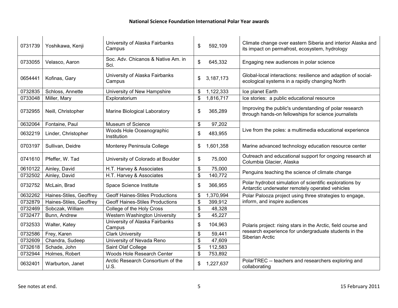| 0731739 | Yoshikawa, Kenji        | University of Alaska Fairbanks<br>Campus   | $\mathfrak{S}$            | 592,109   | Climate change over eastern Siberia and interior Alaska and<br>its impact on permafrost, ecosystem, hydrology   |
|---------|-------------------------|--------------------------------------------|---------------------------|-----------|-----------------------------------------------------------------------------------------------------------------|
| 0733055 | Velasco, Aaron          | Soc. Adv. Chicanos & Native Am. in<br>Sci. | \$                        | 645,332   | Engaging new audiences in polar science                                                                         |
| 0654441 | Kofinas, Gary           | University of Alaska Fairbanks<br>Campus   | \$                        | 3,187,173 | Global-local interactions: resilience and adaption of social-<br>ecological systems in a rapidly changing North |
| 0732835 | Schloss, Annette        | University of New Hampshire                | \$                        | 1,122,333 | Ice planet Earth                                                                                                |
| 0733048 | Miller, Mary            | Exploratorium                              | \$                        | 1,816,717 | Ice stories: a public educational resource                                                                      |
| 0732955 | Neill, Christopher      | Marine Biological Laboratory               | \$                        | 365,289   | Improving the public's understanding of polar research<br>through hands-on fellowships for science journalists  |
| 0632064 | Fontaine, Paul          | Museum of Science                          | \$                        | 97,202    |                                                                                                                 |
| 0632219 | Linder, Christopher     | Woods Hole Oceanographic<br>Institution    | \$                        | 483,955   | Live from the poles: a multimedia educational experience                                                        |
| 0703197 | Sullivan, Deidre        | Monterey Peninsula College                 | \$                        | 1,601,358 | Marine advanced technology education resource center                                                            |
| 0741610 | Pfeffer, W. Tad         | University of Colorado at Boulder          | \$                        | 75,000    | Outreach and educational support for ongoing research at<br>Columbia Glacier, Alaska                            |
| 0610122 | Ainley, David           | H.T. Harvey & Associates                   | \$                        | 75,000    |                                                                                                                 |
| 0732502 | Ainley, David           | H.T. Harvey & Associates                   | \$                        | 140,772   | Penguins teaching the science of climate change                                                                 |
| 0732752 | McLain, Brad            | Space Science Institute                    | \$                        | 366,955   | Polar hydrobot simulation of scientific explorations by<br>Antarctic underwater remotely operated vehicles      |
| 0632262 | Haines-Stiles, Geoffrey | <b>Geoff Haines-Stiles Productions</b>     | \$                        | ,370,994  | Polar Palooza project using three strategies to engage,                                                         |
| 0732879 | Haines-Stiles, Geoffrey | <b>Geoff Haines-Stiles Productions</b>     | \$                        | 399,912   | inform, and inspire audiences                                                                                   |
| 0732469 | Sobczak, William        | College of the Holy Cross                  | \$                        | 48,328    |                                                                                                                 |
| 0732477 | Bunn, Andrew            | Western Washington University              | \$                        | 45,227    |                                                                                                                 |
| 0732533 | Walter, Katey           | University of Alaska Fairbanks<br>Campus   | \$                        | 104,963   | Polaris project: rising stars in the Arctic, field course and                                                   |
| 0732586 | Frey, Karen             | <b>Clark University</b>                    | \$                        | 59,441    | research experience for undergraduate students in the<br>Siberian Arctic                                        |
| 0732609 | Chandra, Sudeep         | University of Nevada Reno                  | \$                        | 47,609    |                                                                                                                 |
| 0732618 | Schade, John            | Saint Olaf College                         | \$                        | 112,583   |                                                                                                                 |
| 0732944 | Holmes, Robert          | Woods Hole Research Center                 | $\boldsymbol{\mathsf{S}}$ | 753,892   |                                                                                                                 |
| 0632401 | Warburton, Janet        | Arctic Research Consortium of the<br>U.S.  | \$                        | 1,227,637 | PolarTREC -- teachers and researchers exploring and<br>collaborating                                            |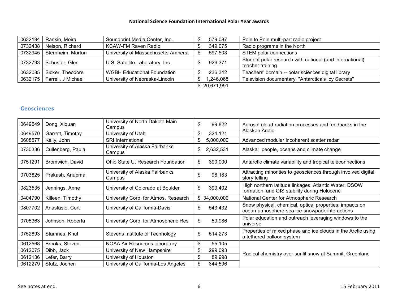| 0632194      | Rankin, Moira      | Soundprint Media Center, Inc.       |  | 579,087  | Pole to Pole multi-part radio project                                        |  |  |
|--------------|--------------------|-------------------------------------|--|----------|------------------------------------------------------------------------------|--|--|
| 0732438      | Nelson, Richard    | KCAW-FM Raven Radio                 |  | 349,075  | Radio programs in the North                                                  |  |  |
| 0732945      | Sternheim, Morton  | University of Massachusetts Amherst |  | 597,503  | STEM polar connections                                                       |  |  |
| 0732793      | Schuster, Glen     | U.S. Satellite Laboratory, Inc.     |  | 926,371  | Student polar research with national (and international)<br>teacher training |  |  |
| 0632085      | Sicker, Theodore   | <b>WGBH Educational Foundation</b>  |  | 236,342  | Teachers' domain -- polar sciences digital library                           |  |  |
| 0632175      | Farrell, J Michael | University of Nebraska-Lincoln      |  | 80.046.1 | Television documentary, "Antarctica's Icy Secrets"                           |  |  |
| \$20,671,991 |                    |                                     |  |          |                                                                              |  |  |

#### **Geosciences**

| 0649549 | Dong, Xiquan      | University of North Dakota Main<br>Campus | \$<br>99,822    | Aerosol-cloud-radiation processes and feedbacks in the                                                    |
|---------|-------------------|-------------------------------------------|-----------------|-----------------------------------------------------------------------------------------------------------|
| 0649570 | Garrett, Timothy  | University of Utah                        | \$<br>324,121   | Alaskan Arctic                                                                                            |
| 0608577 | Kelly, John       | <b>SRI International</b>                  | \$<br>5,000,000 | Advanced modular incoherent scatter radar                                                                 |
| 0730336 | Cullenberg, Paula | University of Alaska Fairbanks<br>Campus  | 2,632,531<br>\$ | Alaska: people, oceans and climate change                                                                 |
| 0751291 | Bromwich, David   | Ohio State U. Research Foundation         | \$<br>390,000   | Antarctic climate variability and tropical teleconnections                                                |
| 0703825 | Prakash, Anupma   | University of Alaska Fairbanks<br>Campus  | \$<br>98,183    | Attracting minorities to geosciences through involved digital<br>story telling                            |
| 0823535 | Jennings, Anne    | University of Colorado at Boulder         | \$<br>399,402   | High northern latitude linkages: Atlantic Water, DSOW<br>formation, and GIS stability during Holocene     |
| 0404790 | Killeen, Timothy  | University Corp. for Atmos. Research      | \$34,000,000    | National Center for Atmospheric Research                                                                  |
| 0807702 | Anastasio, Cort   | University of California-Davis            | \$<br>543,432   | Snow physical, chemical, optical properties: impacts on<br>ocean-atmosphere-sea ice-snowpack interactions |
| 0705363 | Johnson, Roberta  | University Corp. for Atmospheric Res      | \$<br>59,986    | Polar education and outreach leveraging windows to the<br>universe                                        |
| 0752893 | Stamnes, Knut     | Stevens Institute of Technology           | \$<br>514,273   | Properties of mixed phase and ice clouds in the Arctic using<br>a tethered balloon system                 |
| 0612568 | Brooks, Steven    | <b>NOAA Air Resources laboratory</b>      | \$<br>55,105    |                                                                                                           |
| 0612075 | Dibb, Jack        | University of New Hampshire               | \$<br>299,093   | Radical chemistry over sunlit snow at Summit, Greenland                                                   |
| 0612136 | Lefer, Barry      | University of Houston                     | \$<br>89,998    |                                                                                                           |
| 0612279 | Stutz, Jochen     | University of California-Los Angeles      | \$<br>344,596   |                                                                                                           |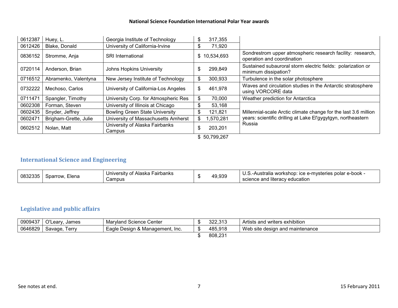| 0612387 | Huey, L.              | Georgia Institute of Technology          | \$<br>317,355    |                                                                                          |
|---------|-----------------------|------------------------------------------|------------------|------------------------------------------------------------------------------------------|
| 0612426 | Blake, Donald         | University of California-Irvine          | \$<br>71,920     |                                                                                          |
| 0836152 | Stromme, Anja         | <b>SRI</b> International                 | \$<br>10,534,693 | Sondrestrom upper atmospheric research facility: research,<br>operation and coordination |
| 0720114 | Anderson, Brian       | <b>Johns Hopkins University</b>          | \$<br>299,849    | Sustained subauroral storm electric fields: polarization or<br>minimum dissipation?      |
| 0716512 | Abramenko, Valentyna  | New Jersey Institute of Technology       | \$<br>300,933    | Turbulence in the solar photosphere                                                      |
| 0732222 | Mechoso, Carlos       | University of California-Los Angeles     | \$<br>461,978    | Waves and circulation studies in the Antarctic stratosphere<br>using VORCORE data        |
| 0711471 | Spangler, Timothy     | University Corp. for Atmospheric Res     | \$<br>70,000     | Weather prediction for Antarctica                                                        |
| 0602308 | Forman, Steven        | University of Illinois at Chicago        | \$<br>53,168     |                                                                                          |
| 0602435 | Snyder, Jeffrey       | <b>Bowling Green State University</b>    | \$<br>121,821    | Millennial-scale Arctic climate change for the last 3.6 million                          |
| 0602471 | Brigham-Grette, Julie | University of Massachusetts Amherst      | \$<br>570,281    | years: scientific drilling at Lake El'gygytgyn, northeastern                             |
| 0602512 | Nolan, Matt           | University of Alaska Fairbanks<br>Campus | \$<br>203,201    | Russia                                                                                   |
|         |                       |                                          | \$50,799,267     |                                                                                          |

# **International Science and Engineering**

| 0832335 | Elena<br>Sparrow. | Fairbanks<br>University of Alaska<br>Campus | 49,939 | ∶ ice e-mysteries polar e-book ·<br>U.S.-Australia workshop:<br>science and literacy education |
|---------|-------------------|---------------------------------------------|--------|------------------------------------------------------------------------------------------------|

# **Legislative and public affairs**

| 0909437 | O'Leary, James | <b>Maryland Science Center</b>  | 322,313 | Artists and writers exhibition  |
|---------|----------------|---------------------------------|---------|---------------------------------|
| 0646829 | Savage, Terry  | Eagle Design & Management, Inc. | 485,918 | Web site design and maintenance |
|         |                |                                 | 808,231 |                                 |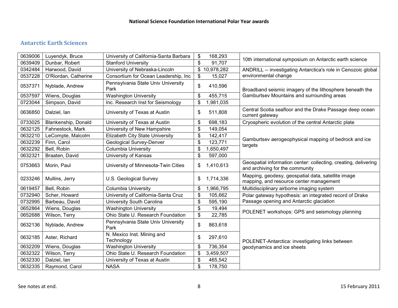# **Antarctic Earth Sciences**

| 0639006 | Luyendyk, Bruce      | University of California-Santa Barbara     | \$<br>168,293   |                                                                                                    |
|---------|----------------------|--------------------------------------------|-----------------|----------------------------------------------------------------------------------------------------|
| 0639409 | Dunbar, Robert       | <b>Stanford University</b>                 | \$<br>91,707    | 10th international symposium on Antarctic earth science                                            |
| 0342484 | Harwood, David       | University of Nebraska-Lincoln             | \$10,978,282    | ANDRILL -- investigating Antarctica's role in Cenozoic global                                      |
| 0537228 | O'Riordan, Catherine | Consortium for Ocean Leadership, Inc.      | \$<br>15,027    | environmental change                                                                               |
| 0537371 | Nyblade, Andrew      | Pennsylvania State Univ University<br>Park | \$<br>410,596   | Broadband seismic imagery of the lithosphere beneath the                                           |
| 0537597 | Wiens, Douglas       | <b>Washington University</b>               | \$<br>455,715   | Gamburtsev Mountains and surrounding areas                                                         |
| 0723044 | Simpson, David       | Inc. Research Inst for Seismology          | \$<br>1,981,035 |                                                                                                    |
| 0636850 | Dalziel, lan         | University of Texas at Austin              | \$<br>511,808   | Central Scotia seafloor and the Drake Passage deep ocean<br>current gateway                        |
| 0733025 | Blankenship, Donald  | University of Texas at Austin              | \$<br>698,183   | Cryospheric evolution of the central Antarctic plate                                               |
| 0632125 | Fahnestock, Mark     | University of New Hampshire                | \$<br>149,054   |                                                                                                    |
| 0632210 | LeCompte, Malcolm    | Elizabeth City State University            | \$<br>142,417   |                                                                                                    |
| 0632239 | Finn, Carol          | Geological Survey-Denver                   | \$<br>123,771   | Gamburtsev aerogeophysical mapping of bedrock and ice                                              |
| 0632292 | Bell, Robin          | Columbia University                        | \$<br>1,650,497 | targets                                                                                            |
| 0632321 | Braaten, David       | University of Kansas                       | \$<br>597,000   |                                                                                                    |
| 0753663 | Morin, Paul          | University of Minnesota-Twin Cities        | \$<br>1,410,613 | Geospatial information center: collecting, creating, delivering<br>and archiving for the community |
| 0233246 | Mullins, Jerry       | U.S. Geological Survey                     | \$<br>1,714,336 | Mapping, geodesy, geospatial data, satellite image<br>mapping, and resource center management      |
| 0619457 | Bell, Robin          | <b>Columbia University</b>                 | \$<br>1,966,795 | Multidisciplinary airborne imaging system                                                          |
| 0732940 | Scher, Howard        | University of California-Santa Cruz        | \$<br>105,662   | Polar gateway hypothesis: an integrated record of Drake                                            |
| 0732995 | Barbeau, David       | University South Carolina                  | \$<br>595,190   | Passage opening and Antarctic glaciation                                                           |
| 0652864 | Wiens, Douglas       | <b>Washington University</b>               | \$<br>19,494    | POLENET workshops: GPS and seismology planning                                                     |
| 0652688 | Wilson, Terry        | Ohio State U. Research Foundation          | \$<br>22,785    |                                                                                                    |
| 0632136 | Nyblade, Andrew      | Pennsylvania State Univ University<br>Park | \$<br>863,618   |                                                                                                    |
| 0632185 | Aster, Richard       | N. Mexico Inst. Mining and<br>Technology   | \$<br>297,610   | POLENET-Antarctica: investigating links between                                                    |
| 0632209 | Wiens, Douglas       | <b>Washington University</b>               | \$<br>736,354   | geodynamics and ice sheets                                                                         |
| 0632322 | Wilson, Terry        | Ohio State U. Research Foundation          | \$<br>3,459,507 |                                                                                                    |
| 0632330 | Dalziel, Ian         | University of Texas at Austin              | \$<br>465,542   |                                                                                                    |
| 0632335 | Raymond, Carol       | <b>NASA</b>                                | \$<br>178,750   |                                                                                                    |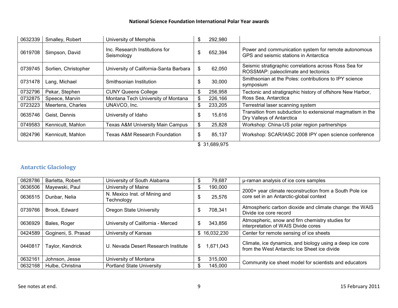| 0632339 | Smalley, Robert      | University of Memphis                        | \$. | 292,980      |                                                                                                |
|---------|----------------------|----------------------------------------------|-----|--------------|------------------------------------------------------------------------------------------------|
| 0619708 | Simpson, David       | Inc. Research Institutions for<br>Seismology | \$. | 652,394      | Power and communication system for remote autonomous<br>GPS and seismic stations in Antarctica |
| 0739745 | Sorlien, Christopher | University of California-Santa Barbara       | \$  | 62,050       | Seismic stratigraphic correlations across Ross Sea for<br>ROSSMAP: paleoclimate and tectonics  |
| 0731478 | Lang, Michael        | Smithsonian Institution                      | S   | 30,000       | Smithsonian at the Poles: contributions to IPY science<br>symposium                            |
| 0732796 | Pekar, Stephen       | <b>CUNY Queens College</b>                   | \$  | 256,958      | Tectonic and stratigraphic history of offshore New Harbor,                                     |
| 0732875 | Speece, Marvin       | Montana Tech University of Montana           | \$  | 226,166      | Ross Sea, Antarctica                                                                           |
| 0723223 | Meertens, Charles    | UNAVCO, Inc.                                 | \$  | 233,205      | Terrestrial laser scanning system                                                              |
| 0635746 | Geist. Dennis        | University of Idaho                          | \$  | 15,616       | Transition from subduction to extensional magmatism in the<br>Dry Valleys of Antarctica        |
| 0749583 | Kennicutt, Mahlon    | Texas A&M University Main Campus             | \$  | 25,828       | Workshop: China-US polar region partnerships                                                   |
| 0824796 | Kennicutt, Mahlon    | <b>Texas A&amp;M Research Foundation</b>     | \$  | 85,137       | Workshop: SCAR/IASC 2008 IPY open science conference                                           |
|         |                      |                                              |     | \$31,689,975 |                                                                                                |

# **Antarctic Glaciology**

| 0828786 | Barletta, Robert    | University of South Alabama                 | Ъ   | 79,687     | µ-raman analysis of ice core samples                                                                     |
|---------|---------------------|---------------------------------------------|-----|------------|----------------------------------------------------------------------------------------------------------|
| 0636506 | Mayewski, Paul      | University of Maine                         | S   | 190,000    |                                                                                                          |
| 0636515 | Dunbar, Nelia       | N. Mexico Inst. of Mining and<br>Technology |     | 25,576     | 2000+ year climate reconstruction from a South Pole ice<br>core set in an Antarctic-global context       |
| 0739766 | Brook, Edward       | <b>Oregon State University</b>              |     | 708,341    | Atmospheric carbon dioxide and climate change: the WAIS<br>Divide ice core record                        |
| 0636929 | Bales, Roger        | University of California - Merced           | \$  | 343,856    | Atmospheric, snow and firn chemistry studies for<br>interpretation of WAIS Divide cores                  |
| 0424589 | Gogineni, S. Prasad | University of Kansas                        | \$. | 16,032,230 | Center for remote sensing of ice sheets                                                                  |
| 0440817 | Taylor, Kendrick    | U. Nevada Desert Research Institute         | \$  | 1,671,043  | Climate, ice dynamics, and biology using a deep ice core<br>from the West Antarctic Ice Sheet ice divide |
| 0632161 | Johnson, Jesse      | University of Montana                       | \$  | 315,000    |                                                                                                          |
| 0632168 | Hulbe, Christina    | <b>Portland State University</b>            |     | 145,000    | Community ice sheet model for scientists and educators                                                   |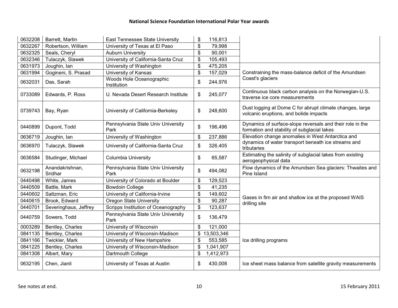| 0632208 | Barrett, Martin            | East Tennessee State University            | \$<br>116,813    |                                                                                                          |
|---------|----------------------------|--------------------------------------------|------------------|----------------------------------------------------------------------------------------------------------|
| 0632267 | Robertson, William         | University of Texas at El Paso             | \$<br>79,998     |                                                                                                          |
| 0632325 | Seals, Cheryl              | <b>Auburn University</b>                   | \$<br>90,001     |                                                                                                          |
| 0632346 | Tulaczyk, Slawek           | University of California-Santa Cruz        | \$<br>105,493    |                                                                                                          |
| 0631973 | Joughin, lan               | University of Washington                   | \$<br>475,205    |                                                                                                          |
| 0631994 | Gogineni, S. Prasad        | University of Kansas                       | \$<br>157,029    | Constraining the mass-balance deficit of the Amundsen                                                    |
| 0632031 | Das, Sarah                 | Woods Hole Oceanographic<br>Institution    | \$<br>244,976    | Coast's glaciers                                                                                         |
| 0733089 | Edwards, P. Ross           | U. Nevada Desert Research Institute        | \$<br>245,077    | Continuous black carbon analysis on the Norwegian-U.S.<br>traverse ice core measurements                 |
| 0739743 | Bay, Ryan                  | University of California-Berkeley          | \$<br>248,600    | Dust logging at Dome C for abrupt climate changes, large<br>volcanic eruptions, and bolide impacts       |
| 0440899 | Dupont, Todd               | Pennsylvania State Univ University<br>Park | \$<br>196,496    | Dynamics of surface-slope reversals and their role in the<br>formation and stability of subglacial lakes |
| 0636719 | Joughin, lan               | University of Washington                   | \$<br>237,886    | Elevation change anomalies in West Antarctica and                                                        |
| 0636970 | Tulaczyk, Slawek           | University of California-Santa Cruz        | \$<br>326,405    | dynamics of water transport beneath ice streams and<br>tributaries                                       |
| 0636584 | Studinger, Michael         | <b>Columbia University</b>                 | \$<br>65,587     | Estimating the salinity of subglacial lakes from existing<br>aerogeophysical data                        |
| 0632198 | Anandakrishnan,<br>Sridhar | Pennsylvania State Univ University<br>Park | \$<br>494,082    | Flow dynamics of the Amundsen Sea glaciers: Thwaites and<br>Pine Island                                  |
| 0440498 | White, James               | University of Colorado at Boulder          | \$<br>129,523    |                                                                                                          |
| 0440509 | Battle, Mark               | <b>Bowdoin College</b>                     | \$<br>41,235     |                                                                                                          |
| 0440602 | Saltzman, Eric             | University of California-Irvine            | \$<br>149,602    | Gases in firn air and shallow ice at the proposed WAIS                                                   |
| 0440615 | Brook, Edward              | <b>Oregon State University</b>             | \$<br>90,287     | drilling site                                                                                            |
| 0440701 | Severinghaus, Jeffrey      | Scripps Institution of Oceanography        | \$<br>123,637    |                                                                                                          |
| 0440759 | Sowers, Todd               | Pennsylvania State Univ University<br>Park | \$<br>136,479    |                                                                                                          |
| 0003289 | Bentley, Charles           | University of Wisconsin                    | \$<br>121,000    |                                                                                                          |
| 0841135 | Bentley, Charles           | University of Wisconsin-Madison            | \$<br>13,503,346 |                                                                                                          |
| 0841166 | Twickler, Mark             | University of New Hampshire                | \$<br>553,585    | Ice drilling programs                                                                                    |
| 0841225 | Bentley, Charles           | University of Wisconsin-Madison            | \$<br>1,041,907  |                                                                                                          |
| 0841308 | Albert, Mary               | Dartmouth College                          | \$<br>1,412,973  |                                                                                                          |
| 0632195 | Chen, Jianli               | University of Texas at Austin              | \$<br>430,008    | Ice sheet mass balance from satellite gravity measurements                                               |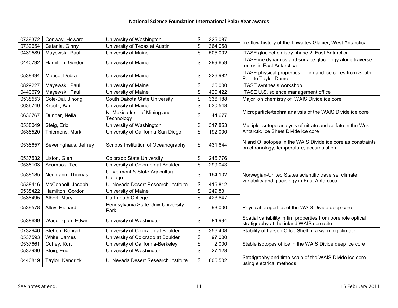| 0739372 | Conway, Howard        | University of Washington                    | \$<br>225,087 | Ice-flow history of the Thwaites Glacier, West Antarctica                                                 |
|---------|-----------------------|---------------------------------------------|---------------|-----------------------------------------------------------------------------------------------------------|
| 0739654 | Catania, Ginny        | University of Texas at Austin               | \$<br>364,058 |                                                                                                           |
| 0439589 | Mayewski, Paul        | University of Maine                         | \$<br>505,002 | ITASE glaciochemistry phase 2: East Antarctica                                                            |
| 0440792 | Hamilton, Gordon      | University of Maine                         | \$<br>299,659 | ITASE ice dynamics and surface glaciology along traverse<br>routes in East Antarctica                     |
| 0538494 | Meese, Debra          | University of Maine                         | \$<br>326,982 | ITASE physical properties of firn and ice cores from South<br>Pole to Taylor Dome                         |
| 0829227 | Mayewski, Paul        | University of Maine                         | \$<br>35,000  | <b>ITASE</b> synthesis workshop                                                                           |
| 0440679 | Mayewski, Paul        | University of Maine                         | \$<br>420,422 | ITASE U.S. science management office                                                                      |
| 0538553 | Cole-Dai, Jihong      | South Dakota State University               | \$<br>336,188 | Major ion chemistry of WAIS Divide ice core                                                               |
| 0636740 | Kreutz, Karl          | University of Maine                         | \$<br>530,548 |                                                                                                           |
| 0636767 | Dunbar, Nelia         | N. Mexico Inst. of Mining and<br>Technology | \$<br>44,677  | Microparticle/tephra analysis of the WAIS Divide ice core                                                 |
| 0538049 | Steig, Eric           | University of Washington                    | \$<br>317,853 | Multiple-isotope analysis of nitrate and sulfate in the West                                              |
| 0538520 | Thiemens, Mark        | University of California-San Diego          | \$<br>192,000 | Antarctic Ice Sheet Divide ice core                                                                       |
| 0538657 | Severinghaus, Jeffrey | Scripps Institution of Oceanography         | \$<br>431,644 | N and O isotopes in the WAIS Divide ice core as constraints<br>on chronology, temperature, accumulation   |
| 0537532 | Liston, Glen          | <b>Colorado State University</b>            | \$<br>246,776 |                                                                                                           |
| 0538103 | Scambos, Ted          | University of Colorado at Boulder           | \$<br>299,043 |                                                                                                           |
| 0538185 | Neumann, Thomas       | U. Vermont & State Agricultural<br>College  | \$<br>164,102 | Norwegian-United States scientific traverse: climate<br>variability and glaciology in East Antarctica     |
| 0538416 | McConnell, Joseph     | U. Nevada Desert Research Institute         | \$<br>415,812 |                                                                                                           |
| 0538422 | Hamilton, Gordon      | University of Maine                         | \$<br>249,831 |                                                                                                           |
| 0538495 | Albert, Mary          | Dartmouth College                           | \$<br>423,647 |                                                                                                           |
| 0539578 | Alley, Richard        | Pennsylvania State Univ University<br>Park  | \$<br>93,000  | Physical properties of the WAIS Divide deep core                                                          |
| 0538639 | Waddington, Edwin     | University of Washington                    | \$<br>84,994  | Spatial variability in firn properties from borehole optical<br>stratigraphy at the inland WAIS core site |
| 0732946 | Steffen, Konrad       | University of Colorado at Boulder           | \$<br>356,408 | Stability of Larsen C Ice Shelf in a warming climate                                                      |
| 0537593 | White, James          | University of Colorado at Boulder           | \$<br>97,000  |                                                                                                           |
| 0537661 | Cuffey, Kurt          | University of California-Berkeley           | \$<br>2,000   | Stable isotopes of ice in the WAIS Divide deep ice core                                                   |
| 0537930 | Steig, Eric           | University of Washington                    | \$<br>27,128  |                                                                                                           |
| 0440819 | Taylor, Kendrick      | U. Nevada Desert Research Institute         | \$<br>805,502 | Stratigraphy and time scale of the WAIS Divide ice core<br>using electrical methods                       |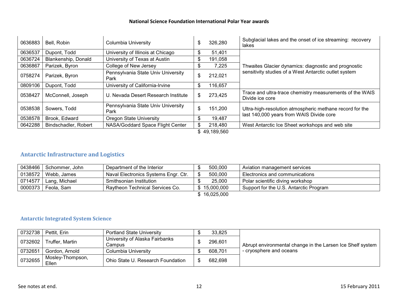| 0636883      | Bell, Robin          | Columbia University                        | \$ | 326,280 | Subglacial lakes and the onset of ice streaming: recovery<br>lakes                                   |  |  |
|--------------|----------------------|--------------------------------------------|----|---------|------------------------------------------------------------------------------------------------------|--|--|
| 0636537      | Dupont, Todd         | University of Illinois at Chicago          | \$ | 51,401  |                                                                                                      |  |  |
| 0636724      | Blankenship, Donald  | University of Texas at Austin              | \$ | 191,058 |                                                                                                      |  |  |
| 0636867      | Parizek, Byron       | College of New Jersey                      | \$ | 7.225   | Thwaites Glacier dynamics: diagnostic and prognostic                                                 |  |  |
| 0758274      | Parizek, Byron       | Pennsylvania State Univ University<br>Park | \$ | 212,021 | sensitivity studies of a West Antarctic outlet system                                                |  |  |
| 0809106      | Dupont, Todd         | University of California-Irvine            | \$ | 116.657 |                                                                                                      |  |  |
| 0538427      | McConnell, Joseph    | U. Nevada Desert Research Institute        | \$ | 273,425 | Trace and ultra-trace chemistry measurements of the WAIS<br>Divide ice core                          |  |  |
| 0538538      | Sowers, Todd         | Pennsylvania State Univ University<br>Park | \$ | 151,200 | Ultra-high-resolution atmospheric methane record for the<br>last 140,000 years from WAIS Divide core |  |  |
| 0538578      | Brook, Edward        | Oregon State University                    | \$ | 19,487  |                                                                                                      |  |  |
| 0642288      | Bindschadler, Robert | NASA/Goddard Space Flight Center           | \$ | 218,480 | West Antarctic Ice Sheet workshops and web site                                                      |  |  |
| \$49,189,560 |                      |                                            |    |         |                                                                                                      |  |  |

# **Antarctic Infrastructure and Logistics**

| 0438466 | Schommer, John       | Department of the Interior           | 500,000      | Aviation management services           |
|---------|----------------------|--------------------------------------|--------------|----------------------------------------|
| 0138572 | Webb, James          | Naval Electronics Systems Engr. Ctr. | 500,000      | Electronics and communications         |
| 0714577 | Lang, Michael        | Smithsonian Institution              | 25,000       | Polar scientific diving workshop       |
|         | 0000373   Feola, Sam | Raytheon Technical Services Co.      | \$15,000,000 | Support for the U.S. Antarctic Program |
|         |                      |                                      | \$16,025,000 |                                        |

#### **Antarctic Integrated System Science**

| 0732738 | Pettit, Erin              | <b>Portland State University</b>         | 33,825  |                                                            |
|---------|---------------------------|------------------------------------------|---------|------------------------------------------------------------|
| 0732602 | Truffer, Martin           | University of Alaska Fairbanks<br>Campus | 296,601 | Abrupt environmental change in the Larsen Ice Shelf system |
| 0732651 | Gordon, Arnold            | <b>Columbia University</b>               | 608,701 | - cryosphere and oceans                                    |
| 0732655 | Mosley-Thompson,<br>Ellen | Ohio State U. Research Foundation        | 682.698 |                                                            |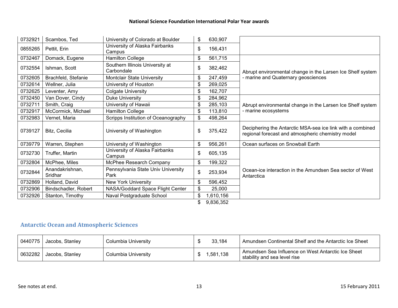| 0732921 | Scambos, Ted               | University of Colorado at Boulder             | \$<br>630,907   |                                                                                                                 |
|---------|----------------------------|-----------------------------------------------|-----------------|-----------------------------------------------------------------------------------------------------------------|
| 0855265 | Pettit, Erin               | University of Alaska Fairbanks<br>Campus      | \$<br>156,431   |                                                                                                                 |
| 0732467 | Domack, Eugene             | <b>Hamilton College</b>                       | \$<br>561,715   |                                                                                                                 |
| 0732554 | Ishman, Scott              | Southern Illinois University at<br>Carbondale | \$<br>382,462   | Abrupt environmental change in the Larsen Ice Shelf system                                                      |
| 0732605 | Brachfeld, Stefanie        | Montclair State University                    | \$<br>247,459   | - marine and Quaternary geosciences                                                                             |
| 0732614 | Wellner, Julia             | University of Houston                         | \$<br>269,025   |                                                                                                                 |
| 0732625 | Leventer, Amy              | Colgate University                            | \$<br>162,707   |                                                                                                                 |
| 0732450 | Van Dover, Cindy           | Duke University                               | \$<br>284,962   |                                                                                                                 |
| 0732711 | Smith, Craig               | University of Hawaii                          | \$<br>285,103   | Abrupt environmental change in the Larsen Ice Shelf system                                                      |
| 0732917 | McCormick, Michael         | Hamilton College                              | \$<br>113,810   | - marine ecosystems                                                                                             |
| 0732983 | Vernet, Maria              | Scripps Institution of Oceanography           | \$<br>498,264   |                                                                                                                 |
| 0739127 | Bitz, Cecilia              | University of Washington                      | \$<br>375,422   | Deciphering the Antarctic MSA-sea ice link with a combined<br>regional forecast and atmospheric chemistry model |
| 0739779 | Warren, Stephen            | University of Washington                      | \$<br>956,261   | Ocean surfaces on Snowball Earth                                                                                |
| 0732730 | Truffer, Martin            | University of Alaska Fairbanks<br>Campus      | \$<br>605,135   |                                                                                                                 |
| 0732804 | McPhee, Miles              | McPhee Research Company                       | \$<br>199,322   |                                                                                                                 |
| 0732844 | Anandakrishnan,<br>Sridhar | Pennsylvania State Univ University<br>Park    | \$<br>253,934   | Ocean-ice interaction in the Amundsen Sea sector of West<br>Antarctica                                          |
| 0732869 | Holland, David             | <b>New York University</b>                    | \$<br>596,452   |                                                                                                                 |
| 0732906 | Bindschadler, Robert       | NASA/Goddard Space Flight Center              | \$<br>25,000    |                                                                                                                 |
| 0732926 | Stanton, Timothy           | Naval Postgraduate School                     | \$<br>1,610,156 |                                                                                                                 |
|         |                            |                                               | \$<br>9,836,352 |                                                                                                                 |

# **Antarctic Ocean and Atmospheric Sciences**

|         | 0440775   Jacobs, Stanley | Columbia University | 33.184  | Amundsen Continental Shelf and the Antarctic Ice Sheet                               |
|---------|---------------------------|---------------------|---------|--------------------------------------------------------------------------------------|
| 0632282 | l Jacobs, Stanley         | Columbia University | 581,138 | ' Amundsen Sea Influence on West Antarctic Ice Sheet<br>stability and sea level rise |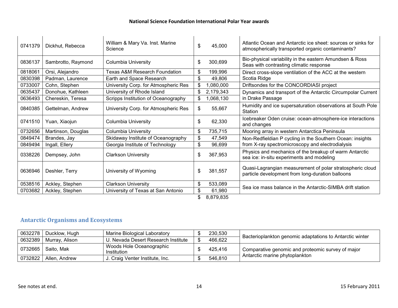| 0741379 | Dickhut, Rebecca   | William & Mary Va. Inst. Marine<br>Science | \$<br>45,000    | Atlantic Ocean and Antarctic ice sheet: sources or sinks for<br>atmospherically transported organic contaminants? |
|---------|--------------------|--------------------------------------------|-----------------|-------------------------------------------------------------------------------------------------------------------|
| 0836137 | Sambrotto, Raymond | Columbia University                        | \$<br>300,699   | Bio-physical variability in the eastern Amundsen & Ross<br>Seas with contrasting climatic response                |
| 0818061 | Orsi, Alejandro    | Texas A&M Research Foundation              | \$<br>199,996   | Direct cross-slope ventilation of the ACC at the western                                                          |
| 0830398 | Padman, Laurence   | Earth and Space Research                   | \$<br>49,806    | Scotia Ridge                                                                                                      |
| 0733007 | Cohn, Stephen      | University Corp. for Atmospheric Res       | \$<br>,080,000  | Driftsondes for the CONCORDIASI project                                                                           |
| 0635437 | Donohue, Kathleen  | University of Rhode Island                 | \$<br>2,179,343 | Dynamics and transport of the Antarctic Circumpolar Current                                                       |
| 0636493 | Chereskin, Teresa  | Scripps Institution of Oceanography        | \$<br>,068,130  | in Drake Passage                                                                                                  |
| 0840385 | Gettelman, Andrew  | University Corp. for Atmospheric Res       | \$<br>55.667    | Humidity and ice supersaturation observations at South Pole<br>Station                                            |
| 0741510 | Yuan, Xiaojun      | Columbia University                        | \$<br>62,330    | Icebreaker Oden cruise: ocean-atmosphere-ice interactions<br>and changes                                          |
| 0732656 | Martinson, Douglas | Columbia University                        | \$<br>735,715   | Mooring array in western Antarctica Peninsula                                                                     |
| 0849474 | Brandes, Jay       | Skidaway Institute of Oceanography         | \$<br>47,549    | Non-Redfieldian P cycling in the Southern Ocean: insights                                                         |
| 0849494 | Ingall, Ellery     | Georgia Institute of Technology            | \$<br>96,699    | from X-ray spectromicroscopy and electrodialysis                                                                  |
| 0338226 | Dempsey, John      | <b>Clarkson University</b>                 | \$<br>367,953   | Physics and mechanics of the breakup of warm Antarctic<br>sea ice: in-situ experiments and modeling               |
| 0636946 | Deshler, Terry     | University of Wyoming                      | \$<br>381,557   | Quasi-Lagrangian measurement of polar stratospheric cloud<br>particle development from long-duration balloons     |
| 0538516 | Ackley, Stephen    | <b>Clarkson University</b>                 | \$<br>533,089   |                                                                                                                   |
| 0703682 | Ackley, Stephen    | University of Texas at San Antonio         | \$<br>61,980    | Sea ice mass balance in the Antarctic-SIMBA drift station                                                         |
|         |                    |                                            | \$<br>8,879,835 |                                                                                                                   |

# **Antarctic Organisms and Ecosystems**

| 0632278   | Ducklow, Hugh  | Marine Biological Laboratory            | 230,530 |                                                          |
|-----------|----------------|-----------------------------------------|---------|----------------------------------------------------------|
| 0632389   | Murray, Alison | U. Nevada Desert Research Institute     | 466,622 | Bacterioplankton genomic adaptations to Antarctic winter |
| 0732665   | Saito, Mak     | Woods Hole Oceanographic<br>Institution | 425,416 | Comparative genomic and proteomic survey of major        |
| 0732822 l | Allen, Andrew  | J. Craig Venter Institute, Inc.         | 546,810 | Antarctic marine phytoplankton                           |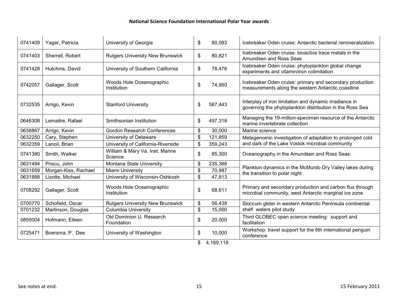| 0741409 | Yager, Patricia      | University of Georgia                      | \$    | 80,093    | Icebreaker Oden cruise: Antarctic bacterial remineralization                                                       |
|---------|----------------------|--------------------------------------------|-------|-----------|--------------------------------------------------------------------------------------------------------------------|
| 0741403 | Sherrell, Robert     | <b>Rutgers University New Brunswick</b>    | \$    | 80,821    | Icebreaker Oden cruise: bioactive trace metals in the<br>Amundsen and Ross Seas                                    |
| 0741428 | Hutchins, David      | University of Southern California          | \$    | 78,476    | Icebreaker Oden cruise: phytoplankton global change<br>experiments and vitamin/iron colimitation                   |
| 0742057 | Gallager, Scott      | Woods Hole Oceanographic<br>Institution    | \$    | 74,950    | Icebreaker Oden cruise: primary and secondary production<br>measurements along the western Antarctic coastline     |
| 0732535 | Arrigo, Kevin        | <b>Stanford University</b>                 | \$    | 587,443   | Interplay of iron limitation and dynamic irradiance in<br>governing the phytoplankton distribution in the Ross Sea |
| 0646308 | Lemaitre, Rafael     | Smithsonian Institution                    | \$    | 497,318   | Managing the 19-million-specimen resource of the Antarctic<br>marine invertebrate collection                       |
| 0638867 | Arrigo, Kevin        | <b>Gordon Research Conferences</b>         | \$    | 30,000    | Marine science                                                                                                     |
| 0632250 | Cary, Stephen        | University of Delaware                     | \$    | 121,859   | Metagenomic investigation of adaptation to prolonged cold                                                          |
| 0632359 | Lanoil, Brian        | University of California-Riverside         | \$    | 359,243   | and dark of the Lake Vostok microbial community                                                                    |
| 0741380 | Smith, Walker        | William & Mary Va. Inst. Marine<br>Science | \$    | 85,300    | Oceanography in the Amundsen and Ross Seas:                                                                        |
| 0631494 | Priscu, John         | Montana State University                   | \$    | 235,388   |                                                                                                                    |
| 0631659 | Morgan-Kiss, Rachael | Miami University                           | $\$\$ | 70,987    | Plankton dynamics in the McMurdo Dry Valley lakes during<br>the transition to polar night                          |
| 0631888 | Lizotte, Michael     | University of Wisconsin-Oshkosh            | \$    | 47,813    |                                                                                                                    |
| 0708292 | Gallager, Scott      | Woods Hole Oceanographic<br>Institution    | \$    | 68,611    | Primary and secondary production and carbon flux through<br>microbial community, west Antarctic marginal ice zone  |
| 0700770 | Schofield, Oscar     | <b>Rutgers University New Brunswick</b>    | \$    | 56,438    | Sloccum glider in western Antarctic Peninsula continental                                                          |
| 0701232 | Martinson, Douglas   | <b>Columbia University</b>                 | \$    | 15,000    | shelf waters pilot study                                                                                           |
| 0850004 | Hofmann, Eileen      | Old Dominion U. Research<br>Foundation     | \$    | 20,000    | Third GLOBEC open science meeting: support and<br>facilitation                                                     |
| 0725471 | Boersma, P. Dee      | University of Washington                   | \$    | 10,000    | Workshop: travel support for the 6th international penguin<br>conference                                           |
|         |                      |                                            | \$    | 4,189,118 |                                                                                                                    |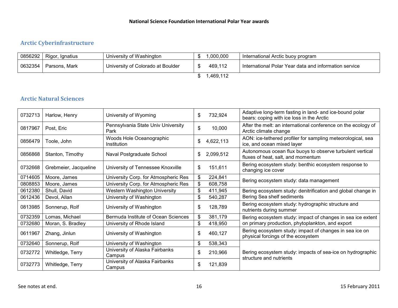# **Arctic Cyberinfrastructure**

| 0856292   | Rigor, Ignatius | University of Washington          |  | ,000,000 | International Arctic buoy program                     |  |  |
|-----------|-----------------|-----------------------------------|--|----------|-------------------------------------------------------|--|--|
|           |                 |                                   |  |          |                                                       |  |  |
| 0632354   | Parsons, Mark   | University of Colorado at Boulder |  | 469,112  | International Polar Year data and information service |  |  |
| 1,469,112 |                 |                                   |  |          |                                                       |  |  |

# **Arctic Natural Sciences**

| 0732713 | Harlow, Henry         | University of Wyoming                      | \$<br>732,924   | Adaptive long-term fasting in land- and ice-bound polar<br>bears: coping with ice loss in the Arctic |
|---------|-----------------------|--------------------------------------------|-----------------|------------------------------------------------------------------------------------------------------|
| 0817967 | Post, Eric            | Pennsylvania State Univ University<br>Park | \$<br>10,000    | After the melt: an international conference on the ecology of<br>Arctic climate change               |
| 0856479 | Toole, John           | Woods Hole Oceanographic<br>Institution    | \$<br>4,622,113 | AON: ice-tethered profiler for sampling meteorological, sea<br>ice, and ocean mixed layer            |
| 0856868 | Stanton, Timothy      | Naval Postgraduate School                  | \$<br>2,099,512 | Autonomous ocean flux buoys to observe turbulent vertical<br>fluxes of heat, salt, and momentum      |
| 0732668 | Grebmeier, Jacqueline | University of Tennessee Knoxville          | \$<br>151,611   | Bering ecosystem study: benthic ecosystem response to<br>changing ice cover                          |
| 0714605 | Moore, James          | University Corp. for Atmospheric Res       | \$<br>224,841   |                                                                                                      |
| 0808853 | Moore, James          | University Corp. for Atmospheric Res       | \$<br>608,758   | Bering ecosystem study: data management                                                              |
| 0612380 | Shull, David          | Western Washington University              | \$<br>411,945   | Bering ecosystem study: denitrification and global change in                                         |
| 0612436 | Devol, Allan          | University of Washington                   | \$<br>540,287   | Bering Sea shelf sediments                                                                           |
| 0813985 | Sonnerup, Rolf        | University of Washington                   | \$<br>128,789   | Bering ecosystem study: hydrographic structure and<br>nutrients during summer                        |
| 0732359 | Lomas, Michael        | Bermuda Institute of Ocean Sciences        | \$<br>381,179   | Bering ecosystem study: impact of changes in sea ice extent                                          |
| 0732680 | Moran, S. Bradley     | University of Rhode Island                 | \$<br>418,950   | on primary production, phytoplankton, and export                                                     |
| 0611967 | Zhang, Jinlun         | University of Washington                   | \$<br>460,127   | Bering ecosystem study: impact of changes in sea ice on<br>physical forcings of the ecosystem        |
| 0732640 | Sonnerup, Rolf        | University of Washington                   | \$<br>538,343   |                                                                                                      |
| 0732772 | Whitledge, Terry      | University of Alaska Fairbanks<br>Campus   | \$<br>210,966   | Bering ecosystem study: impacts of sea-ice on hydrographic<br>structure and nutrients                |
| 0732773 | Whitledge, Terry      | University of Alaska Fairbanks<br>Campus   | \$<br>121,839   |                                                                                                      |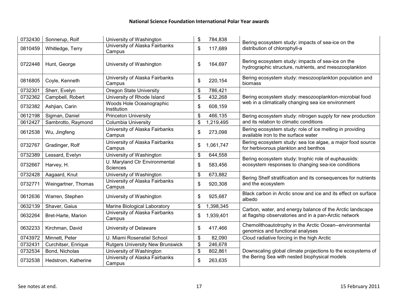| 0732430 | Sonnerup, Rolf      | University of Washington                         | \$<br>784,838   | Bering ecosystem study: impacts of sea-ice on the                                                           |
|---------|---------------------|--------------------------------------------------|-----------------|-------------------------------------------------------------------------------------------------------------|
| 0810459 | Whitledge, Terry    | University of Alaska Fairbanks<br>Campus         | \$<br>117,689   | distribution of chlorophyll-a                                                                               |
| 0722448 | Hunt, George        | University of Washington                         | \$<br>164,697   | Bering ecosystem study: impacts of sea-ice on the<br>hydrographic structure, nutrients, and mesozooplankton |
| 0816805 | Coyle, Kenneth      | University of Alaska Fairbanks<br>Campus         | \$<br>220,154   | Bering ecosystem study: mesozooplankton population and<br>biomass                                           |
| 0732301 | Sherr, Evelyn       | <b>Oregon State University</b>                   | \$<br>786,421   |                                                                                                             |
| 0732362 | Campbell, Robert    | University of Rhode Island                       | \$<br>432,268   | Bering ecosystem study: mesozooplankton-microbial food                                                      |
| 0732382 | Ashjian, Carin      | Woods Hole Oceanographic<br>Institution          | \$<br>608,159   | web in a climatically changing sea ice environment                                                          |
| 0612198 | Sigman, Daniel      | <b>Princeton University</b>                      | \$<br>466,135   | Bering ecosystem study: nitrogen supply for new production                                                  |
| 0612427 | Sambrotto, Raymond  | <b>Columbia University</b>                       | \$<br>1,219,495 | and its relation to climatic conditions                                                                     |
| 0612538 | Wu, Jingfeng        | University of Alaska Fairbanks<br>Campus         | \$<br>273,098   | Bering ecosystem study: role of ice melting in providing<br>available iron to the surface water             |
| 0732767 | Gradinger, Rolf     | University of Alaska Fairbanks<br>Campus         | \$<br>1,061,747 | Bering ecosystem study: sea Ice algae, a major food source<br>for herbivorous plankton and benthos          |
| 0732389 | Lessard, Evelyn     | University of Washington                         | \$<br>644,558   |                                                                                                             |
| 0732667 | Harvey, H.          | U. Maryland Ctr Environmental<br><b>Sciences</b> | \$<br>583,456   | Bering ecosystem study: trophic role of euphausiids:<br>ecosystem responses to changing sea-ice conditions  |
| 0732428 | Aagaard, Knut       | University of Washington                         | \$<br>673,882   | Bering Shelf stratification and its consequences for nutrients                                              |
| 0732771 | Weingartner, Thomas | University of Alaska Fairbanks<br>Campus         | \$<br>920,308   | and the ecosystem                                                                                           |
| 0612636 | Warren, Stephen     | University of Washington                         | \$<br>925,687   | Black carbon in Arctic snow and ice and its effect on surface<br>albedo                                     |
| 0632139 | Shaver, Gaius       | Marine Biological Laboratory                     | \$<br>1,398,345 | Carbon, water, and energy balance of the Arctic landscape                                                   |
| 0632264 | Bret-Harte, Marion  | University of Alaska Fairbanks<br>Campus         | \$<br>1,939,401 | at flagship observatories and in a pan-Arctic network                                                       |
| 0632233 | Kirchman, David     | University of Delaware                           | \$<br>417,466   | Chemolithoautotrophy in the Arctic Ocean--environmental<br>genomics and functional analyses                 |
| 0743972 | Minnett, Peter      | U. Miami Rosenstiel School                       | \$<br>82,090    | Cloud radiative forcing in the high Arctic                                                                  |
| 0732431 | Curchitser, Enrique | <b>Rutgers University New Brunswick</b>          | \$<br>246,678   |                                                                                                             |
| 0732534 | Bond, Nicholas      | University of Washington                         | \$<br>802,861   | Downscaling global climate projections to the ecosystems of                                                 |
| 0732538 | Hedstrom, Katherine | University of Alaska Fairbanks<br>Campus         | \$<br>263,635   | the Bering Sea with nested biophysical models                                                               |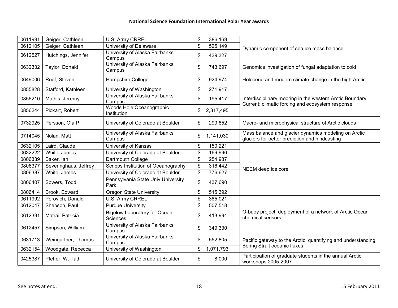| 0611991 | Geiger, Cathleen      | U.S. Army CRREL                                        | \$<br>386,169   |                                                                                                              |
|---------|-----------------------|--------------------------------------------------------|-----------------|--------------------------------------------------------------------------------------------------------------|
| 0612105 | Geiger, Cathleen      | University of Delaware                                 | \$<br>525,149   | Dynamic component of sea ice mass balance                                                                    |
| 0612527 | Hutchings, Jennifer   | University of Alaska Fairbanks<br>Campus               | \$<br>439,327   |                                                                                                              |
| 0632332 | Taylor, Donald        | University of Alaska Fairbanks<br>Campus               | \$<br>743,697   | Genomics investigation of fungal adaptation to cold                                                          |
| 0649006 | Roof, Steven          | Hampshire College                                      | \$<br>924,974   | Holocene and modern climate change in the high Arctic                                                        |
| 0855828 | Stafford, Kathleen    | University of Washington                               | \$<br>271,917   |                                                                                                              |
| 0856210 | Mathis, Jeremy        | University of Alaska Fairbanks<br>Campus               | \$<br>195,417   | Interdisciplinary mooring in the western Arctic Boundary<br>Current: climatic forcing and ecosystem response |
| 0856244 | Pickart, Robert       | Woods Hole Oceanographic<br>Institution                | \$<br>2,317,495 |                                                                                                              |
| 0732925 | Persson, Ola P        | University of Colorado at Boulder                      | \$<br>299,852   | Macro- and microphysical structure of Arctic clouds                                                          |
| 0714045 | Nolan, Matt           | University of Alaska Fairbanks<br>Campus               | \$<br>1,141,030 | Mass balance and glacier dynamics modeling on Arctic<br>glaciers for better prediction and hindcasting       |
| 0632105 | Laird, Claude         | University of Kansas                                   | \$<br>150,221   |                                                                                                              |
| 0632222 | White, James          | University of Colorado at Boulder                      | \$<br>169,996   |                                                                                                              |
| 0806339 | Baker, lan            | Dartmouth College                                      | \$<br>254,987   |                                                                                                              |
| 0806377 | Severinghaus, Jeffrey | Scripps Institution of Oceanography                    | \$<br>316,442   | NEEM deep ice core                                                                                           |
| 0806387 | White, James          | University of Colorado at Boulder                      | \$<br>776,627   |                                                                                                              |
| 0806407 | Sowers, Todd          | Pennsylvania State Univ University<br>Park             | \$<br>437,690   |                                                                                                              |
| 0806414 | Brook, Edward         | Oregon State University                                | \$<br>515,392   |                                                                                                              |
| 0611992 | Perovich, Donald      | U.S. Army CRREL                                        | \$<br>385,021   |                                                                                                              |
| 0612047 | Shepson, Paul         | <b>Purdue University</b>                               | \$<br>507,518   |                                                                                                              |
| 0612331 | Matrai, Patricia      | <b>Bigelow Laboratory for Ocean</b><br><b>Sciences</b> | \$<br>413,994   | O-buoy project: deployment of a network of Arctic Ocean<br>chemical sensors                                  |
| 0612457 | Simpson, William      | University of Alaska Fairbanks<br>Campus               | \$<br>349,330   |                                                                                                              |
| 0631713 | Weingartner, Thomas   | University of Alaska Fairbanks<br>Campus               | \$<br>552,805   | Pacific gateway to the Arctic: quantifying and understanding<br>Bering Strait oceanic fluxes                 |
| 0632154 | Woodgate, Rebecca     | University of Washington                               | \$<br>1,071,793 |                                                                                                              |
| 0425387 | Pfeffer, W. Tad       | University of Colorado at Boulder                      | \$<br>8,000     | Participation of graduate students in the annual Arctic<br>workshops 2005-2007                               |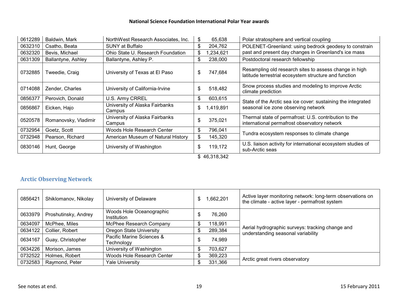| 0612289 | Baldwin, Mark                       | NorthWest Research Associates, Inc.      | \$ | 65,638    | Polar stratosphere and vertical coupling                                                                        |  |  |  |  |
|---------|-------------------------------------|------------------------------------------|----|-----------|-----------------------------------------------------------------------------------------------------------------|--|--|--|--|
| 0632310 | Csatho, Beata                       | <b>SUNY at Buffalo</b>                   | \$ | 204,762   | POLENET-Greenland: using bedrock geodesy to constrain                                                           |  |  |  |  |
| 0632320 | Bevis, Michael                      | Ohio State U. Research Foundation        | \$ | ,234,621  | past and present day changes in Greenland's ice mass                                                            |  |  |  |  |
| 0631309 | Ballantyne, Ashley                  | Ballantyne, Ashley P.                    | \$ | 238,000   | Postdoctoral research fellowship                                                                                |  |  |  |  |
| 0732885 | Tweedie, Craig                      | University of Texas at El Paso           | \$ | 747,684   | Resampling old research sites to assess change in high<br>latitude terrestrial ecosystem structure and function |  |  |  |  |
| 0714088 | Zender, Charles                     | University of California-Irvine          | \$ | 518,482   | Snow process studies and modeling to improve Arctic<br>climate prediction                                       |  |  |  |  |
| 0856377 | Perovich, Donald                    | U.S. Army CRREL                          | \$ | 603,615   | State of the Arctic sea ice cover: sustaining the integrated                                                    |  |  |  |  |
| 0856867 | Eicken, Hajo                        | University of Alaska Fairbanks<br>Campus | \$ | 1,419,891 | seasonal ice zone observing network                                                                             |  |  |  |  |
| 0520578 | Romanovsky, Vladimir                | University of Alaska Fairbanks<br>Campus | \$ | 375,021   | Thermal state of permafrost: U.S. contribution to the<br>international permafrost observatory network           |  |  |  |  |
| 0732954 | Goetz, Scott                        | Woods Hole Research Center               | \$ | 796,041   | Tundra ecosystem responses to climate change                                                                    |  |  |  |  |
| 0732948 | Pearson, Richard                    | American Museum of Natural History       | \$ | 145,320   |                                                                                                                 |  |  |  |  |
| 0830146 | Hunt, George                        | University of Washington                 | \$ | 119,172   | U.S. liaison activity for international ecosystem studies of<br>sub-Arctic seas                                 |  |  |  |  |
|         | $Q$ $A$ $Q$ $Q$ $A$ $Q$ $Q$ $A$ $Q$ |                                          |    |           |                                                                                                                 |  |  |  |  |

\$ 46,318,342

#### **Arctic Observing Network**

| 0856421 | Shiklomanov, Nikolay | University of Delaware                  | S | 1,662,201 | Active layer monitoring network: long-term observations on<br>the climate - active layer - permafrost system |
|---------|----------------------|-----------------------------------------|---|-----------|--------------------------------------------------------------------------------------------------------------|
| 0633979 | Proshutinsky, Andrey | Woods Hole Oceanographic<br>Institution |   | 76,260    |                                                                                                              |
| 0634097 | McPhee, Miles        | McPhee Research Company                 |   | 118,991   |                                                                                                              |
| 0634122 | Collier, Robert      | Oregon State University                 |   | 289,384   | Aerial hydrographic surveys: tracking change and<br>understanding seasonal variability                       |
| 0634167 | Guay, Christopher    | Pacific Marine Sciences &<br>Technology |   | 74,989    |                                                                                                              |
| 0634226 | Morison, James       | University of Washington                |   | 703,627   |                                                                                                              |
| 0732522 | Holmes, Robert       | Woods Hole Research Center              |   | 369,223   |                                                                                                              |
| 0732583 | Raymond, Peter       | <b>Yale University</b>                  |   | 331,366   | Arctic great rivers observatory                                                                              |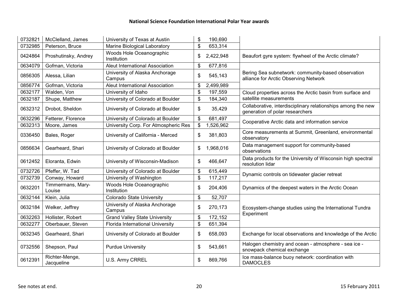| 0732821 | McClelland, James            | University of Texas at Austin            | \$<br>190,690   |                                                                                                 |
|---------|------------------------------|------------------------------------------|-----------------|-------------------------------------------------------------------------------------------------|
| 0732985 | Peterson, Bruce              | Marine Biological Laboratory             | \$<br>653,314   |                                                                                                 |
| 0424864 | Proshutinsky, Andrey         | Woods Hole Oceanographic<br>Institution  | \$<br>2,422,948 | Beaufort gyre system: flywheel of the Arctic climate?                                           |
| 0634079 | Gofman, Victoria             | Aleut International Association          | \$<br>677,816   |                                                                                                 |
| 0856305 | Alessa, Lilian               | University of Alaska Anchorage<br>Campus | \$<br>545,143   | Bering Sea subnetwork: community-based observation<br>alliance for Arctic Observing Network     |
| 0856774 | Gofman, Victoria             | Aleut International Association          | \$<br>2,499,989 |                                                                                                 |
| 0632177 | Walden, Von                  | University of Idaho                      | \$<br>197,559   | Cloud properties across the Arctic basin from surface and                                       |
| 0632187 | Shupe, Matthew               | University of Colorado at Boulder        | \$<br>184,340   | satellite measurements                                                                          |
| 0632312 | Drobot, Sheldon              | University of Colorado at Boulder        | \$<br>35,429    | Collaborative, interdisciplinary relationships among the new<br>generation of polar researchers |
| 0632296 | Fetterer, Florence           | University of Colorado at Boulder        | \$<br>681,497   | Cooperative Arctic data and information service                                                 |
| 0632313 | Moore, James                 | University Corp. For Atmospheric Res     | \$<br>1,526,962 |                                                                                                 |
| 0336450 | Bales, Roger                 | University of California - Merced        | \$<br>381,803   | Core measurements at Summit, Greenland, environmental<br>observatory                            |
| 0856634 | Gearheard, Shari             | University of Colorado at Boulder        | \$<br>1,968,016 | Data management support for community-based<br>observations                                     |
| 0612452 | Eloranta, Edwin              | University of Wisconsin-Madison          | \$<br>466,647   | Data products for the University of Wisconsin high spectral<br>resolution lidar                 |
| 0732726 | Pfeffer, W. Tad              | University of Colorado at Boulder        | \$<br>615,449   |                                                                                                 |
| 0732739 | Conway, Howard               | University of Washington                 | \$<br>117,217   | Dynamic controls on tidewater glacier retreat                                                   |
| 0632201 | Timmermans, Mary-<br>Louise  | Woods Hole Oceanographic<br>Institution  | \$<br>204,406   | Dynamics of the deepest waters in the Arctic Ocean                                              |
| 0632144 | Klein, Julia                 | <b>Colorado State University</b>         | \$<br>52,707    |                                                                                                 |
| 0632184 | Welker, Jeffrey              | University of Alaska Anchorage<br>Campus | \$<br>270,173   | Ecosystem-change studies using the International Tundra<br>Experiment                           |
| 0632263 | Hollister, Robert            | <b>Grand Valley State University</b>     | \$<br>172,152   |                                                                                                 |
| 0632277 | Oberbauer, Steven            | Florida International University         | \$<br>651,394   |                                                                                                 |
| 0632345 | Gearheard, Shari             | University of Colorado at Boulder        | \$<br>658,093   | Exchange for local observations and knowledge of the Arctic                                     |
| 0732556 | Shepson, Paul                | <b>Purdue University</b>                 | \$<br>543,661   | Halogen chemistry and ocean - atmosphere - sea ice -<br>snowpack chemical exchange              |
| 0612391 | Richter-Menge,<br>Jacqueline | U.S. Army CRREL                          | \$<br>869,766   | Ice mass-balance buoy network: coordination with<br><b>DAMOCLES</b>                             |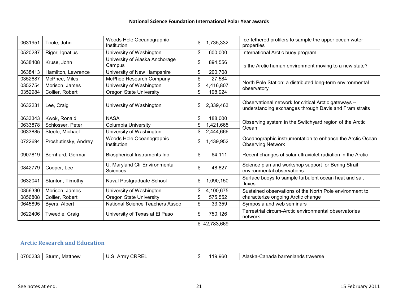| 0631951 | Toole, John          | Woods Hole Oceanographic<br>Institution          | \$<br>1,735,332 | Ice-tethered profilers to sample the upper ocean water<br>properties                                            |
|---------|----------------------|--------------------------------------------------|-----------------|-----------------------------------------------------------------------------------------------------------------|
| 0520287 | Rigor, Ignatius      | University of Washington                         | \$<br>600,000   | International Arctic buoy program                                                                               |
| 0638408 | Kruse, John          | University of Alaska Anchorage<br>Campus         | \$<br>894,556   | Is the Arctic human environment moving to a new state?                                                          |
| 0638413 | Hamilton, Lawrence   | University of New Hampshire                      | \$<br>200,708   |                                                                                                                 |
| 0352687 | McPhee, Miles        | McPhee Research Company                          | \$<br>27,584    |                                                                                                                 |
| 0352754 | Morison, James       | University of Washington                         | \$<br>4,416,807 | North Pole Station: a distributed long-term environmental<br>observatory                                        |
| 0352984 | Collier, Robert      | Oregon State University                          | \$<br>198,924   |                                                                                                                 |
| 0632231 | Lee, Craig           | University of Washington                         | \$<br>2,339,463 | Observational network for critical Arctic gateways --<br>understanding exchanges through Davis and Fram straits |
| 0633343 | Kwok, Ronald         | <b>NASA</b>                                      | \$<br>188,000   |                                                                                                                 |
| 0633878 | Schlosser, Peter     | Columbia University                              | \$<br>1,421,665 | Observing system in the Switchyard region of the Arctic<br>Ocean                                                |
| 0633885 | Steele, Michael      | University of Washington                         | \$<br>2,444,666 |                                                                                                                 |
| 0722694 | Proshutinsky, Andrey | Woods Hole Oceanographic<br>Institution          | \$<br>1,439,952 | Oceanographic instrumentation to enhance the Arctic Ocean<br><b>Observing Network</b>                           |
| 0907819 | Bernhard, Germar     | <b>Biospherical Instruments Inc</b>              | \$<br>64,111    | Recent changes of solar ultraviolet radiation in the Arctic                                                     |
| 0842779 | Cooper, Lee          | U. Maryland Ctr Environmental<br><b>Sciences</b> | \$<br>48,827    | Science plan and workshop support for Bering Strait<br>environmental observations                               |
| 0632041 | Stanton, Timothy     | Naval Postgraduate School                        | \$<br>1,090,150 | Surface buoys to sample turbulent ocean heat and salt<br>fluxes                                                 |
| 0856330 | Morison, James       | University of Washington                         | \$<br>4,100,675 | Sustained observations of the North Pole environment to                                                         |
| 0856808 | Collier, Robert      | <b>Oregon State University</b>                   | \$<br>575,552   | characterize ongoing Arctic change                                                                              |
| 0645895 | Byers, Albert        | National Science Teachers Assoc                  | \$<br>33,359    | Symposia and web seminars                                                                                       |
| 0622406 | Tweedie, Craig       | University of Texas at El Paso                   | \$<br>750,126   | Terrestrial circum-Arctic environmental observatories<br>network                                                |

\$ 42,783,669

# **Arctic Research and Education**

| 0700233 | Sturm<br>Matthew | <b>CRRE</b><br>/\ rr<br>∪.∪ | 19,960<br>ำน | ৲-Canada barrenlands traverse<br>Alaska |
|---------|------------------|-----------------------------|--------------|-----------------------------------------|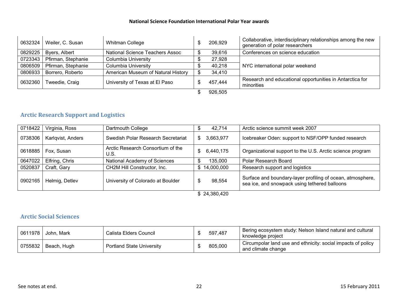| 0632324 | Weiler, C. Susan   | Whitman College                    | 206,929 | Collaborative, interdisciplinary relationships among the new<br>generation of polar researchers |
|---------|--------------------|------------------------------------|---------|-------------------------------------------------------------------------------------------------|
| 0829225 | Byers, Albert      | National Science Teachers Assoc    | 39,616  | Conferences on science education                                                                |
| 0723343 | Pfirman, Stephanie | Columbia University                | 27,928  |                                                                                                 |
| 0806509 | Pfirman, Stephanie | Columbia University                | 40,218  | NYC international polar weekend                                                                 |
| 0806933 | Borrero, Roberto   | American Museum of Natural History | 34,410  |                                                                                                 |
| 0632360 | Tweedie, Craig     | University of Texas at El Paso     | 457,444 | Research and educational opportunities in Antarctica for<br>minorities                          |
|         |                    |                                    | 926,505 |                                                                                                 |

# **Arctic Research Support and Logistics**

| 0718422 | Virginia, Ross    | Dartmouth College                         | 42,714            | Arctic science summit week 2007                                                                             |
|---------|-------------------|-------------------------------------------|-------------------|-------------------------------------------------------------------------------------------------------------|
| 0738306 | Karlgvist, Anders | Swedish Polar Research Secretariat        | 3,663,977<br>S.   | Icebreaker Oden: support to NSF/OPP funded research                                                         |
| 0618885 | Fox, Susan        | Arctic Research Consortium of the<br>U.S. | 6,440,175<br>S    | Organizational support to the U.S. Arctic science program                                                   |
| 0647022 | Elfring, Chris    | National Academy of Sciences              | 135.000           | Polar Research Board                                                                                        |
| 0520837 | Craft, Gary       | CH2M Hill Constructor, Inc.               | 14,000,000<br>\$. | Research support and logistics                                                                              |
| 0902165 | Helmig, Detlev    | University of Colorado at Boulder         | 98,554            | Surface and boundary-layer profiling of ocean, atmosphere,<br>sea ice, and snowpack using tethered balloons |

\$ 24,380,420

#### **Arctic Social Sciences**

|         | 0611978   John, Mark | Calista Elders Council           | 597,487 | Bering ecosystem study: Nelson Island natural and cultural<br>knowledge project    |
|---------|----------------------|----------------------------------|---------|------------------------------------------------------------------------------------|
| 0755832 | Beach, Hugh          | <b>Portland State University</b> | 805,000 | Circumpolar land use and ethnicity: social impacts of policy<br>and climate change |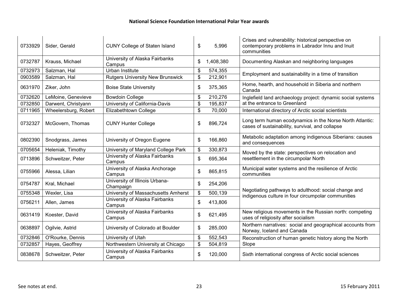| 0733929 | Sider, Gerald        | <b>CUNY College of Staten Island</b>        | \$<br>5,996     | Crises and vulnerability: historical perspective on<br>contemporary problems in Labrador Innu and Inuit<br>communities |
|---------|----------------------|---------------------------------------------|-----------------|------------------------------------------------------------------------------------------------------------------------|
| 0732787 | Krauss, Michael      | University of Alaska Fairbanks<br>Campus    | \$<br>1,408,380 | Documenting Alaskan and neighboring languages                                                                          |
| 0732973 | Salzman, Hal         | Urban Institute                             | \$<br>574,355   |                                                                                                                        |
| 0903589 | Salzman, Hal         | <b>Rutgers University New Brunswick</b>     | \$<br>212,901   | Employment and sustainability in a time of transition                                                                  |
| 0631970 | Ziker, John          | <b>Boise State University</b>               | \$<br>375,365   | Home, hearth, and household in Siberia and northern<br>Canada                                                          |
| 0732620 | LeMoine, Genevieve   | <b>Bowdoin College</b>                      | \$<br>210,276   | Inglefield land archaeology project: dynamic social systems                                                            |
| 0732850 | Darwent, Christyann  | University of California-Davis              | \$<br>195,837   | at the entrance to Greenland                                                                                           |
| 0711965 | Wheelersburg, Robert | Elizabethtown College                       | \$<br>70,000    | International directory of Arctic social scientists                                                                    |
| 0732327 | McGovern, Thomas     | <b>CUNY Hunter College</b>                  | \$<br>896,724   | Long term human ecodynamics in the Norse North Atlantic:<br>cases of sustainability, survival, and collapse            |
| 0802390 | Snodgrass, James     | University of Oregon Eugene                 | \$<br>166,860   | Metabolic adaptation among indigenous Siberians: causes<br>and consequences                                            |
| 0705654 | Heleniak, Timothy    | University of Maryland College Park         | \$<br>330,873   | Moved by the state: perspectives on relocation and                                                                     |
| 0713896 | Schweitzer, Peter    | University of Alaska Fairbanks<br>Campus    | \$<br>695,364   | resettlement in the circumpolar North                                                                                  |
| 0755966 | Alessa, Lilian       | University of Alaska Anchorage<br>Campus    | \$<br>865,815   | Municipal water systems and the resilience of Arctic<br>communities                                                    |
| 0754787 | Kral, Michael        | University of Illinois Urbana-<br>Champaign | \$<br>254,206   |                                                                                                                        |
| 0755348 | Wexler, Lisa         | University of Massachusetts Amherst         | \$<br>500,139   | Negotiating pathways to adulthood: social change and<br>indigenous culture in four circumpolar communities             |
| 0756211 | Allen, James         | University of Alaska Fairbanks<br>Campus    | \$<br>413,806   |                                                                                                                        |
| 0631419 | Koester, David       | University of Alaska Fairbanks<br>Campus    | \$<br>621,495   | New religious movements in the Russian north: competing<br>uses of religiosity after socialism                         |
| 0638897 | Ogilvie, Astrid      | University of Colorado at Boulder           | \$<br>285,000   | Northern narratives: social and geographical accounts from<br>Norway, Iceland and Canada                               |
| 0732846 | O'Rourke, Dennis     | University of Utah                          | \$<br>552,543   | Reconstruction of human genetic history along the North                                                                |
| 0732857 | Hayes, Geoffrey      | Northwestern University at Chicago          | \$<br>504,819   | Slope                                                                                                                  |
| 0838678 | Schweitzer, Peter    | University of Alaska Fairbanks<br>Campus    | \$<br>120,000   | Sixth international congress of Arctic social sciences                                                                 |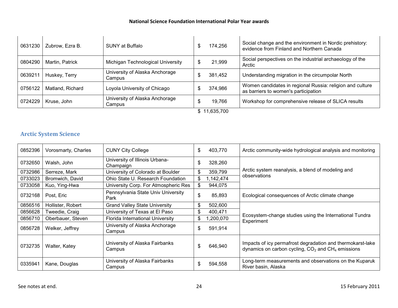| 0631230 | Zubrow, Ezra B.  | <b>SUNY at Buffalo</b>                   |   | 174,256 | Social change and the environment in Nordic prehistory:<br>evidence from Finland and Northern Canada |  |  |  |
|---------|------------------|------------------------------------------|---|---------|------------------------------------------------------------------------------------------------------|--|--|--|
| 0804290 | Martin, Patrick  | Michigan Technological University        |   | 21,999  | Social perspectives on the industrial archaeology of the<br>Arctic                                   |  |  |  |
| 0639211 | Huskey, Terry    | University of Alaska Anchorage<br>Campus |   | 381,452 | Understanding migration in the circumpolar North                                                     |  |  |  |
| 0756122 | Matland, Richard | Loyola University of Chicago             |   | 374,986 | Women candidates in regional Russia: religion and culture<br>as barriers to women's participation    |  |  |  |
| 0724229 | Kruse, John      | University of Alaska Anchorage<br>Campus | J | 19,766  | Workshop for comprehensive release of SLICA results                                                  |  |  |  |
|         | \$11,635,700     |                                          |   |         |                                                                                                      |  |  |  |

## **Arctic System Science**

| 0852396 | Vorosmarty, Charles | <b>CUNY City College</b>                    | \$<br>403,770   | Arctic community-wide hydrological analysis and monitoring                                                          |
|---------|---------------------|---------------------------------------------|-----------------|---------------------------------------------------------------------------------------------------------------------|
| 0732650 | Walsh, John         | University of Illinois Urbana-<br>Champaign | \$<br>328,260   |                                                                                                                     |
| 0732986 | Serreze, Mark       | University of Colorado at Boulder           | \$<br>359,799   | Arctic system reanalysis, a blend of modeling and                                                                   |
| 0733023 | Bromwich, David     | Ohio State U. Research Foundation           | \$<br>1,142,474 | observations                                                                                                        |
| 0733058 | Kuo, Ying-Hwa       | University Corp. For Atmospheric Res        | \$<br>944,075   |                                                                                                                     |
| 0732168 | Post, Eric          | Pennsylvania State Univ University<br>Park  | \$<br>85,893    | Ecological consequences of Arctic climate change                                                                    |
| 0856516 | Hollister, Robert   | <b>Grand Valley State University</b>        | \$<br>502,600   |                                                                                                                     |
| 0856628 | Tweedie, Craig      | University of Texas at El Paso              | \$<br>400,471   |                                                                                                                     |
| 0856710 | Oberbauer, Steven   | Florida International University            | \$<br>,200,070  | Ecosystem-change studies using the International Tundra<br>Experiment                                               |
| 0856728 | Welker, Jeffrey     | University of Alaska Anchorage<br>Campus    | \$<br>591,914   |                                                                                                                     |
| 0732735 | Walter, Katey       | University of Alaska Fairbanks<br>Campus    | \$<br>646,940   | Impacts of icy permafrost degradation and thermokarst-lake<br>dynamics on carbon cycling, $CO2$ and $CH4$ emissions |
| 0335941 | Kane, Douglas       | University of Alaska Fairbanks<br>Campus    | \$<br>594,558   | Long-term measurements and observations on the Kuparuk<br>River basin, Alaska                                       |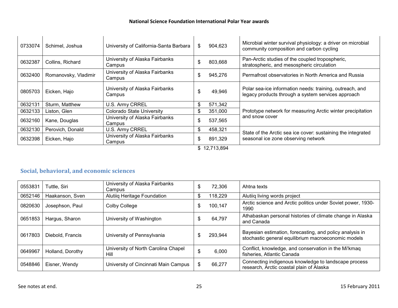| 0733074 | Schimel, Joshua      | University of California-Santa Barbara   | \$ | 904,623                                                                                                                                                                                                                                                                                                                                                        | Microbial winter survival physiology: a driver on microbial<br>community composition and carbon cycling        |  |
|---------|----------------------|------------------------------------------|----|----------------------------------------------------------------------------------------------------------------------------------------------------------------------------------------------------------------------------------------------------------------------------------------------------------------------------------------------------------------|----------------------------------------------------------------------------------------------------------------|--|
| 0632387 | Collins, Richard     | University of Alaska Fairbanks<br>Campus | \$ | 803,668                                                                                                                                                                                                                                                                                                                                                        | Pan-Arctic studies of the coupled tropospheric,<br>stratospheric, and mesospheric circulation                  |  |
| 0632400 | Romanovsky, Vladimir | University of Alaska Fairbanks<br>Campus | \$ | 945,276                                                                                                                                                                                                                                                                                                                                                        | Permafrost observatories in North America and Russia                                                           |  |
| 0805703 | Eicken, Hajo         | University of Alaska Fairbanks<br>Campus | \$ | 49,946                                                                                                                                                                                                                                                                                                                                                         | Polar sea-ice information needs: training, outreach, and<br>legacy products through a system services approach |  |
| 0632131 | Sturm, Matthew       | U.S. Army CRREL                          | \$ | 571,342                                                                                                                                                                                                                                                                                                                                                        |                                                                                                                |  |
| 0632133 | Liston, Glen         | <b>Colorado State University</b>         |    | 351,000                                                                                                                                                                                                                                                                                                                                                        | Prototype network for measuring Arctic winter precipitation                                                    |  |
| 0632160 | Kane, Douglas        | University of Alaska Fairbanks<br>Campus | \$ | 537,565                                                                                                                                                                                                                                                                                                                                                        | and snow cover                                                                                                 |  |
| 0632130 | Perovich, Donald     | U.S. Army CRREL                          | \$ | 458,321                                                                                                                                                                                                                                                                                                                                                        | State of the Arctic sea ice cover: sustaining the integrated                                                   |  |
| 0632398 | Eicken, Hajo         | University of Alaska Fairbanks<br>Campus | \$ | 891,329                                                                                                                                                                                                                                                                                                                                                        | seasonal ice zone observing network                                                                            |  |
|         |                      |                                          |    | $^{\circ}$ $^{\circ}$ $^{\circ}$ $^{\circ}$ $^{\circ}$ $^{\circ}$ $^{\circ}$ $^{\circ}$ $^{\circ}$ $^{\circ}$ $^{\circ}$ $^{\circ}$ $^{\circ}$ $^{\circ}$ $^{\circ}$ $^{\circ}$ $^{\circ}$ $^{\circ}$ $^{\circ}$ $^{\circ}$ $^{\circ}$ $^{\circ}$ $^{\circ}$ $^{\circ}$ $^{\circ}$ $^{\circ}$ $^{\circ}$ $^{\circ}$ $^{\circ}$ $^{\circ}$ $^{\circ}$ $^{\circ$ |                                                                                                                |  |

\$ 12,713,894

# **Social, behavioral, and economic sciences**

| 0553831 | Tuttle, Siri     | University of Alaska Fairbanks<br>Campus    |   | 72,306  | Ahtna texts                                                                                                     |
|---------|------------------|---------------------------------------------|---|---------|-----------------------------------------------------------------------------------------------------------------|
| 0652146 | Haakanson, Sven  | Alutiiq Heritage Foundation                 | S | 118,229 | Alutiiq living words project                                                                                    |
| 0820630 | Josephson, Paul  | Colby College                               | S | 100,147 | Arctic science and Arctic politics under Soviet power, 1930-<br>1990.                                           |
| 0651853 | Hargus, Sharon   | University of Washington                    |   | 64,797  | Athabaskan personal histories of climate change in Alaska<br>and Canada                                         |
| 0617803 | Diebold, Francis | University of Pennsylvania                  |   | 293,944 | Bayesian estimation, forecasting, and policy analysis in<br>stochastic general equilibrium macroeconomic models |
| 0649967 | Holland, Dorothy | University of North Carolina Chapel<br>Hill | £ | 6,000   | Conflict, knowledge, and conservation in the Mi'kmaq<br>fisheries, Atlantic Canada                              |
| 0548846 | Eisner, Wendy    | University of Cincinnati Main Campus        |   | 66,277  | Connecting indigenous knowledge to landscape process<br>research, Arctic coastal plain of Alaska                |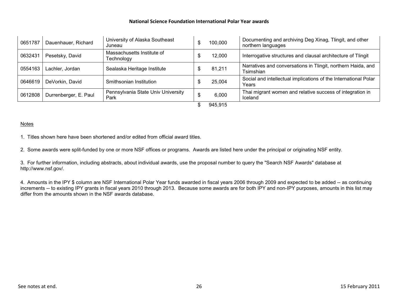| 0651787 | Dauenhauer, Richard   | University of Alaska Southeast<br>Juneau   | 100,000 | Documenting and archiving Deg Xinag, Tlingit, and other<br>northern languages |
|---------|-----------------------|--------------------------------------------|---------|-------------------------------------------------------------------------------|
| 0632431 | Pesetsky, David       | Massachusetts Institute of<br>Technology   | 12,000  | Interrogative structures and clausal architecture of Tlingit                  |
| 0554163 | Lachler, Jordan       | Sealaska Heritage Institute                | 81,211  | Narratives and conversations in Tlingit, northern Haida, and<br>Tsimshian     |
| 0646619 | DeVorkin, David       | Smithsonian Institution                    | 25,004  | Social and intellectual implications of the International Polar<br>Years      |
| 0612808 | Durrenberger, E. Paul | Pennsylvania State Univ University<br>Park | 6,000   | Thai migrant women and relative success of integration in<br>Iceland          |
|         |                       |                                            | 945,915 |                                                                               |

#### Notes

1. Titles shown here have been shortened and/or edited from official award titles.

2. Some awards were split-funded by one or more NSF offices or programs. Awards are listed here under the principal or originating NSF entity.

 3. For further information, including abstracts, about individual awards, use the proposal number to query the "Search NSF Awards" database at http://www.nsf.gov/.

4. Amounts in the IPY \$ column are NSF International Polar Year funds awarded in fiscal years 2006 through 2009 and expected to be added -- as continuing increments -- to existing IPY grants in fiscal years 2010 through 2013. Because some awards are for both IPY and non-IPY purposes, amounts in this list may differ from the amounts shown in the NSF awards database.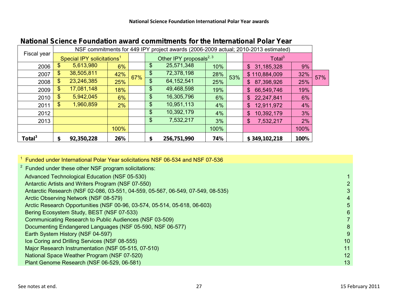| NSF commitments for 449 IPY project awards (2006-2009 actual; 2010-2013 estimated) |                                        |            |      |     |    |                                     |      |     |                    |      |     |
|------------------------------------------------------------------------------------|----------------------------------------|------------|------|-----|----|-------------------------------------|------|-----|--------------------|------|-----|
| Fiscal year                                                                        | Special IPY solicitations <sup>1</sup> |            |      |     |    | Other IPY proposals <sup>2, 3</sup> |      |     | Total <sup>3</sup> |      |     |
| 2006                                                                               | \$                                     | 5,613,980  | 6%   |     | \$ | 25,571,348                          | 10%  |     | \$<br>31,185,328   | 9%   |     |
| 2007                                                                               | \$                                     | 38,505,811 | 42%  | 67% | \$ | 72,378,198                          | 28%  | 53% | \$110,884,009      | 32%  | 57% |
| 2008                                                                               | \$                                     | 23,246,385 | 25%  |     | \$ | 64, 152, 541                        | 25%  |     | 87,398,926<br>\$   | 25%  |     |
| 2009                                                                               | \$                                     | 17,081,148 | 18%  |     | \$ | 49,468,598                          | 19%  |     | 66,549,746<br>\$   | 19%  |     |
| 2010                                                                               | \$                                     | 5,942,045  | 6%   |     | \$ | 16,305,796                          | 6%   |     | 22,247,841<br>\$   | 6%   |     |
| 2011                                                                               | \$                                     | 1,960,859  | 2%   |     | \$ | 10,951,113                          | 4%   |     | \$<br>12,911,972   | 4%   |     |
| 2012                                                                               |                                        |            |      |     | \$ | 10,392,179                          | 4%   |     | \$<br>10,392,179   | 3%   |     |
| 2013                                                                               |                                        |            |      |     | \$ | 7,532,217                           | 3%   |     | \$<br>7,532,217    | 2%   |     |
|                                                                                    |                                        |            | 100% |     |    |                                     | 100% |     |                    | 100% |     |
| Total $3$                                                                          | \$                                     | 92,350,228 | 26%  |     | \$ | 256,751,990                         | 74%  |     | \$349,102,218      | 100% |     |

# **National Science Foundation award commitments for the International Polar Year**

| <sup>2</sup> Funded under these other NSF program solicitations:<br>Advanced Technological Education (NSF 05-530)<br>Antarctic Artists and Writers Program (NSF 07-550)<br>Antarctic Research (NSF 02-086, 03-551, 04-559, 05-567, 06-549, 07-549, 08-535)<br>3<br>Arctic Observing Network (NSF 08-579)<br>4<br>Arctic Research Opportunities (NSF 00-96, 03-574, 05-514, 05-618, 06-603)<br>5.<br>Bering Ecosystem Study, BEST (NSF 07-533)<br>6<br>Communicating Research to Public Audiences (NSF 03-509)<br>Documenting Endangered Languages (NSF 05-590, NSF 06-577)<br>8<br>9<br>Earth System History (NSF 04-597)<br>Ice Coring and Drilling Services (NSF 08-555)<br>10 |
|----------------------------------------------------------------------------------------------------------------------------------------------------------------------------------------------------------------------------------------------------------------------------------------------------------------------------------------------------------------------------------------------------------------------------------------------------------------------------------------------------------------------------------------------------------------------------------------------------------------------------------------------------------------------------------|
|                                                                                                                                                                                                                                                                                                                                                                                                                                                                                                                                                                                                                                                                                  |
|                                                                                                                                                                                                                                                                                                                                                                                                                                                                                                                                                                                                                                                                                  |
|                                                                                                                                                                                                                                                                                                                                                                                                                                                                                                                                                                                                                                                                                  |
|                                                                                                                                                                                                                                                                                                                                                                                                                                                                                                                                                                                                                                                                                  |
|                                                                                                                                                                                                                                                                                                                                                                                                                                                                                                                                                                                                                                                                                  |
|                                                                                                                                                                                                                                                                                                                                                                                                                                                                                                                                                                                                                                                                                  |
|                                                                                                                                                                                                                                                                                                                                                                                                                                                                                                                                                                                                                                                                                  |
|                                                                                                                                                                                                                                                                                                                                                                                                                                                                                                                                                                                                                                                                                  |
|                                                                                                                                                                                                                                                                                                                                                                                                                                                                                                                                                                                                                                                                                  |
|                                                                                                                                                                                                                                                                                                                                                                                                                                                                                                                                                                                                                                                                                  |
|                                                                                                                                                                                                                                                                                                                                                                                                                                                                                                                                                                                                                                                                                  |
| 11<br>Major Research Instrumentation (NSF 05-515, 07-510)                                                                                                                                                                                                                                                                                                                                                                                                                                                                                                                                                                                                                        |
| National Space Weather Program (NSF 07-520)<br>12                                                                                                                                                                                                                                                                                                                                                                                                                                                                                                                                                                                                                                |
| Plant Genome Research (NSF 06-529, 06-581)<br>13                                                                                                                                                                                                                                                                                                                                                                                                                                                                                                                                                                                                                                 |